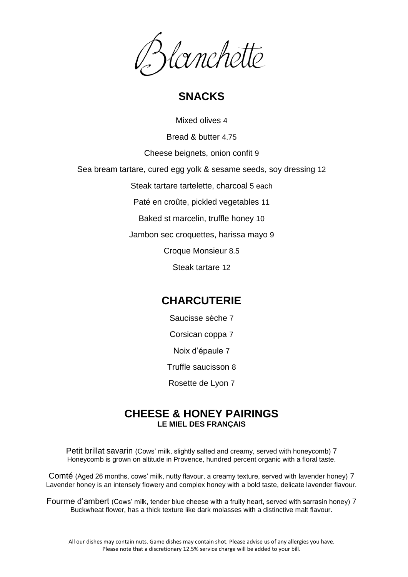

## **SNACKS**

Mixed olives 4

Bread & butter 4.75

Cheese beignets, onion confit 9

Sea bream tartare, cured egg yolk & sesame seeds, soy dressing 12

Steak tartare tartelette, charcoal 5 each

Paté en croûte, pickled vegetables 11

Baked st marcelin, truffle honey 10

Jambon sec croquettes, harissa mayo 9

Croque Monsieur 8.5

Steak tartare 12

### **CHARCUTERIE**

Saucisse sèche 7 Corsican coppa 7 Noix d'épaule 7 Truffle saucisson 8 Rosette de Lyon 7

#### **CHEESE & HONEY PAIRINGS LE MIEL DES FRANÇAIS**

Petit brillat savarin (Cows' milk, slightly salted and creamy, served with honeycomb) 7 Honeycomb is grown on altitude in Provence, hundred percent organic with a floral taste.

Comté (Aged 26 months, cows' milk, nutty flavour, a creamy texture, served with lavender honey) 7 Lavender honey is an intensely flowery and complex honey with a bold taste, delicate lavender flavour.

Fourme d'ambert (Cows' milk, tender blue cheese with a fruity heart, served with sarrasin honey) 7 Buckwheat flower, has a thick texture like dark molasses with a distinctive malt flavour.